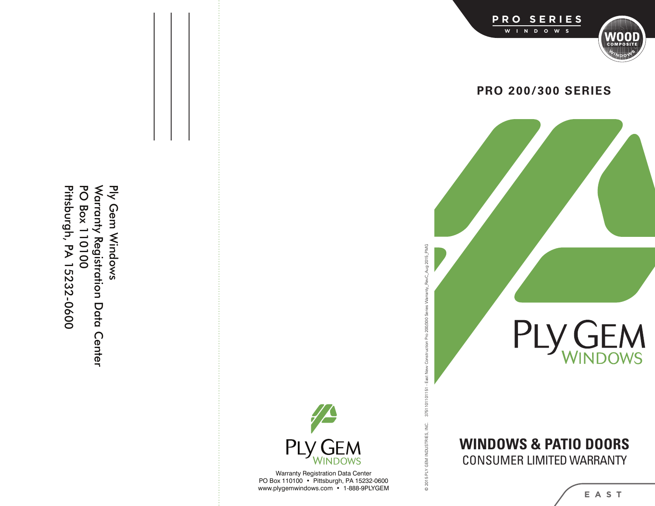Ply Gem Windows Pittsburgh, PA 15232-0600 **PO Box 110100** Warranty Registration Data Center Pittsburgh, PA 15232-0600 PO Box 110100 Ply Gem Windows arranty Registration Data Center



© 2015 PLY GEM INDUSTRIES, INC. 3751101101151 - East New Construction Pro 200/300 Series Warranty\_RevC\_Aug 2015\_PMG

@ 2015 PLY GEM INDUSTRIES, INC.

3751101101151 - East New Construction Pro 200/300 Series Warranty\_RevC\_Aug 2015\_PMG

Warranty Registration Data Center PO Box 110100 • Pittsburgh, PA 15232-0600 ww w.plygemwindows.com • 1-888-9P LYGEM





**PRO 200/300 SERIES**



# **WIN DOW S & PAT I O DOOR S** CO NSU MER L I MITED WARRAN TY